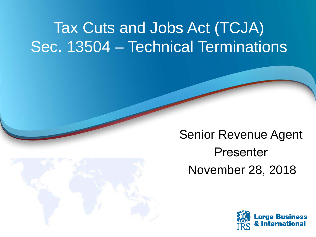# Tax Cuts and Jobs Act (TCJA) Sec. 13504 – Technical Terminations



Senior Revenue Agent Presenter November 28, 2018

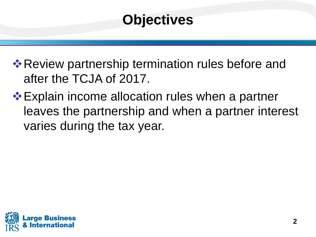## **Objectives**

**\* Review partnership termination rules before and** after the TCJA of 2017.

**Explain income allocation rules when a partner** leaves the partnership and when a partner interest varies during the tax year.

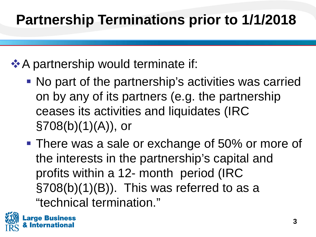## **Partnership Terminations prior to 1/1/2018**

### **A** partnership would terminate if:

- No part of the partnership's activities was carried on by any of its partners (e.g. the partnership ceases its activities and liquidates (IRC §708(b)(1)(A)), or
- **There was a sale or exchange of 50% or more of**  §708(b)(1)(B)). This was referred to as a the interests in the partnership's capital and profits within a 12- month period (IRC "technical termination."

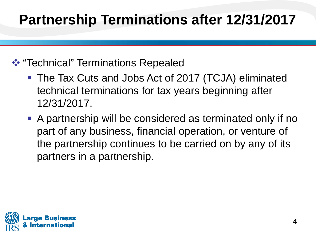## **Partnership Terminations after 12/31/2017**

- **\*** "Technical" Terminations Repealed
	- technical terminations for tax years beginning after The Tax Cuts and Jobs Act of 2017 (TCJA) eliminated 12/31/2017.
	- part of any business, financial operation, or venture of the partnership continues to be carried on by any of its A partnership will be considered as terminated only if no partners in a partnership.

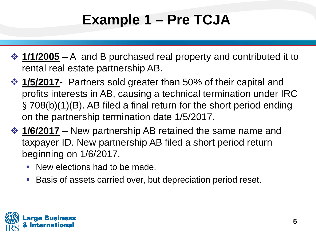## **Example 1 – Pre TCJA**

- **→ 1/1/2005** A and B purchased real property and contributed it to rental real estate partnership AB.
- **→ 1/5/2017** Partners sold greater than 50% of their capital and profits interests in AB, causing a technical termination under IRC § 708(b)(1)(B). AB filed a final return for the short period ending on the partnership termination date 1/5/2017.
- **↑ 1/6/2017** New partnership AB retained the same name and taxpayer ID. New partnership AB filed a short period return beginning on 1/6/2017.
	- **New elections had to be made.**
	- **Basis of assets carried over, but depreciation period reset.**

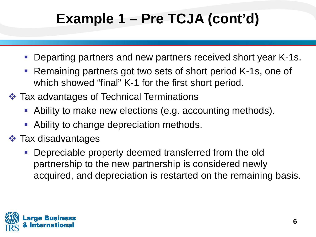## **Example 1 – Pre TCJA (cont'd)**

- **Departing partners and new partners received short year K-1s.**
- which showed "final" K-1 for the first short period. **- Remaining partners got two sets of short period K-1s, one of**
- **❖ Tax advantages of Technical Terminations** 
	- Ability to make new elections (e.g. accounting methods).
	- Ability to change depreciation methods.
- **❖ Tax disadvantages** 
	- Depreciable property deemed transferred from the old partnership to the new partnership is considered newly acquired, and depreciation is restarted on the remaining basis.

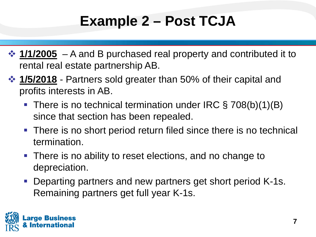## **Example 2 – Post TCJA**

- **↑ 1/1/2005** A and B purchased real property and contributed it to rental real estate partnership AB.
- **→ 1/5/2018** Partners sold greater than 50% of their capital and profits interests in AB.
	- There is no technical termination under IRC § 708(b)(1)(B) since that section has been repealed.
	- There is no short period return filed since there is no technical termination.
	- **There is no ability to reset elections, and no change to** depreciation.
	- Departing partners and new partners get short period K-1s. Remaining partners get full year K-1s.

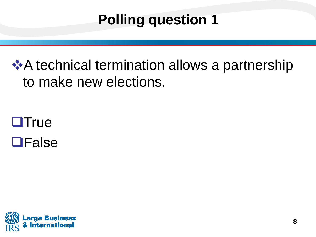## **Polling question 1**

### **A** technical termination allows a partnership to make new elections.

## **OTrue OFalse**

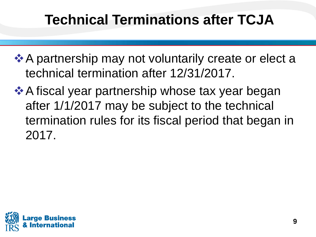## **Technical Terminations after TCJA**

- **A** partnership may not voluntarily create or elect a technical termination after 12/31/2017.
- **★ A fiscal year partnership whose tax year began** after 1/1/2017 may be subject to the technical termination rules for its fiscal period that began in 2017.

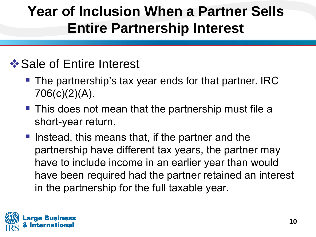### **Year of Inclusion When a Partner Sells Entire Partnership Interest**

### **❖ Sale of Entire Interest**

- **The partnership's tax year ends for that partner. IRC** 706(c)(2)(A).
- **This does not mean that the partnership must file a** short-year return.
- $\blacksquare$  Instead, this means that, if the partner and the partnership have different tax years, the partner may have to include income in an earlier year than would have been required had the partner retained an interest in the partnership for the full taxable year.

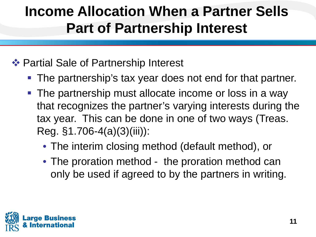### **Income Allocation When a Partner Sells Part of Partnership Interest**

#### ❖ Partial Sale of Partnership Interest

- **The partnership's tax year does not end for that partner.**
- **The partnership must allocate income or loss in a way**  that recognizes the partner's varying interests during the tax year. This can be done in one of two ways (Treas. Reg. §1.706-4(a)(3)(iii)):
	- The interim closing method (default method), or
	- only be used if agreed to by the partners in writing. • The proration method - the proration method can

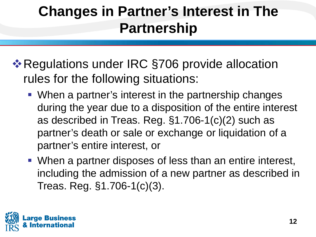## **Changes in Partner's Interest in The Partnership**

- **\*** Regulations under IRC §706 provide allocation rules for the following situations:
	- as described in Treas. Reg. §1.706-1(c)(2) such as partner's death or sale or exchange or liquidation of a When a partner's interest in the partnership changes during the year due to a disposition of the entire interest partner's entire interest, or
	- **When a partner disposes of less than an entire interest,**  including the admission of a new partner as described in Treas. Reg. §1.706-1(c)(3).

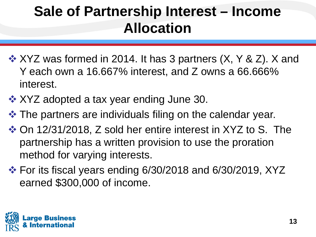- **❖ XYZ was formed in 2014. It has 3 partners (X, Y & Z). X and**  Y each own a 16.667% interest, and Z owns a 66.666% interest.
- **❖ XYZ adopted a tax year ending June 30.**
- $\triangle$  **The partners are individuals filing on the calendar year.**
- On 12/31/2018, Z sold her entire interest in XYZ to S. The partnership has a written provision to use the proration method for varying interests.
- For its fiscal years ending 6/30/2018 and 6/30/2019, XYZ earned \$300,000 of income.

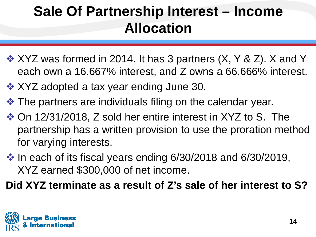- $\cdot$  **XYZ** was formed in 2014. It has 3 partners (X, Y & Z). X and Y each own a 16.667% interest, and Z owns a 66.666% interest.
- $\div$  **XYZ adopted a tax year ending June 30.**
- $\cdot$  The partners are individuals filing on the calendar year.
- On 12/31/2018, Z sold her entire interest in XYZ to S. The partnership has a written provision to use the proration method for varying interests.
- $\cdot$  In each of its fiscal years ending 6/30/2018 and 6/30/2019, XYZ earned \$300,000 of net income.

**Did XYZ terminate as a result of Z's sale of her interest to S?**

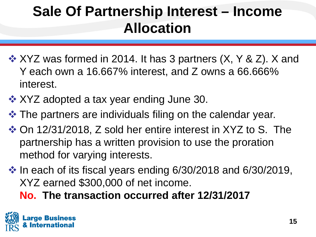- **❖ XYZ was formed in 2014. It has 3 partners (X, Y & Z). X and**  Y each own a 16.667% interest, and Z owns a 66.666% interest.
- **❖ XYZ adopted a tax year ending June 30.**
- $\triangle$  **The partners are individuals filing on the calendar year.**
- On 12/31/2018, Z sold her entire interest in XYZ to S. The partnership has a written provision to use the proration method for varying interests.
- $\cdot$  In each of its fiscal years ending 6/30/2018 and 6/30/2019, XYZ earned \$300,000 of net income.

 **No. The transaction occurred after 12/31/2017** 

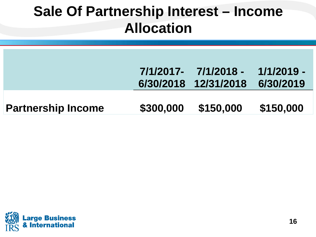|                           |           | 7/1/2017- 7/1/2018 -<br>6/30/2018 12/31/2018 | 1/1/2019 -<br>6/30/2019 |
|---------------------------|-----------|----------------------------------------------|-------------------------|
| <b>Partnership Income</b> | \$300,000 | \$150,000                                    | \$150,000               |

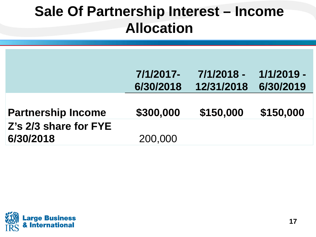|                           | 7/1/2017- | 7/1/2018 - | 1/1/2019 - |
|---------------------------|-----------|------------|------------|
|                           | 6/30/2018 | 12/31/2018 | 6/30/2019  |
|                           |           |            |            |
| <b>Partnership Income</b> | \$300,000 | \$150,000  | \$150,000  |
| Z's 2/3 share for FYE     |           |            |            |
| 6/30/2018                 | 200,000   |            |            |

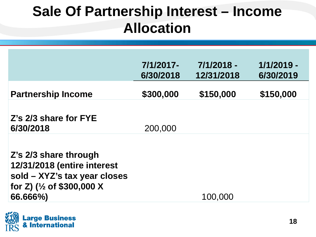|                                                                                                                                           | 7/1/2017-<br>6/30/2018 | 7/1/2018 -<br>12/31/2018 | 1/1/2019 -<br>6/30/2019 |
|-------------------------------------------------------------------------------------------------------------------------------------------|------------------------|--------------------------|-------------------------|
| <b>Partnership Income</b>                                                                                                                 | \$300,000              | \$150,000                | \$150,000               |
| Z's 2/3 share for FYE<br>6/30/2018                                                                                                        | 200,000                |                          |                         |
| Z's 2/3 share through<br>12/31/2018 (entire interest<br>sold - XYZ's tax year closes<br>for Z) ( $\frac{1}{2}$ of \$300,000 X<br>66.666%) |                        | 100,000                  |                         |

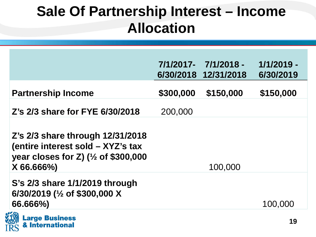|                                                                                                                                                     |           | 7/1/2017- 7/1/2018 -<br>6/30/2018 12/31/2018 | 1/1/2019 -<br>6/30/2019 |
|-----------------------------------------------------------------------------------------------------------------------------------------------------|-----------|----------------------------------------------|-------------------------|
| <b>Partnership Income</b>                                                                                                                           | \$300,000 | \$150,000                                    | \$150,000               |
| Z's 2/3 share for FYE 6/30/2018                                                                                                                     | 200,000   |                                              |                         |
| Z's 2/3 share through 12/31/2018<br>(entire interest sold - XYZ's tax<br>year closes for Z) $\left(\frac{1}{2}\right)$ of \$300,000<br>$X 66.666\%$ |           | 100,000                                      |                         |
| S's 2/3 share 1/1/2019 through<br>6/30/2019 ( $\frac{1}{2}$ of \$300,000 X<br>66.666%)                                                              |           |                                              | 100,000                 |
| <b>Large Business</b><br><b>&amp; International</b>                                                                                                 |           |                                              | 19                      |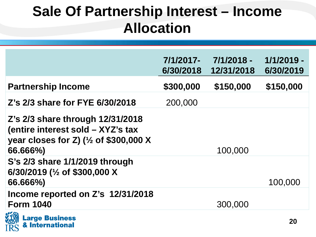|                                                                                                                                        | 7/1/2017-<br>6/30/2018 | 7/1/2018 -<br>12/31/2018 | 1/1/2019 -<br>6/30/2019 |
|----------------------------------------------------------------------------------------------------------------------------------------|------------------------|--------------------------|-------------------------|
| <b>Partnership Income</b>                                                                                                              | \$300,000              | \$150,000                | \$150,000               |
| Z's 2/3 share for FYE 6/30/2018                                                                                                        | 200,000                |                          |                         |
| Z's 2/3 share through 12/31/2018<br>(entire interest sold - XYZ's tax<br>year closes for Z) ( $\frac{1}{2}$ of \$300,000 X<br>66.666%) |                        | 100,000                  |                         |
| S's 2/3 share 1/1/2019 through<br>6/30/2019 ( $\frac{1}{2}$ of \$300,000 X<br>66.666%)                                                 |                        |                          | 100,000                 |
| Income reported on Z's 12/31/2018<br><b>Form 1040</b>                                                                                  |                        | 300,000                  |                         |
| <b>Large Business</b><br><b>&amp; International</b>                                                                                    |                        |                          | 20                      |

**IRS**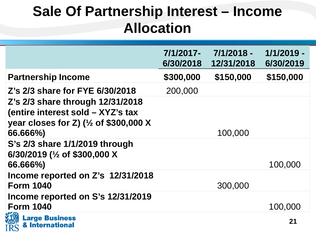|                                                                                                                                        | 7/1/2017-<br>6/30/2018 | 7/1/2018 -<br>12/31/2018 | 1/1/2019 -<br>6/30/2019 |
|----------------------------------------------------------------------------------------------------------------------------------------|------------------------|--------------------------|-------------------------|
| <b>Partnership Income</b>                                                                                                              | \$300,000              | \$150,000                | \$150,000               |
| Z's 2/3 share for FYE 6/30/2018                                                                                                        | 200,000                |                          |                         |
| Z's 2/3 share through 12/31/2018<br>(entire interest sold - XYZ's tax<br>year closes for Z) ( $\frac{1}{2}$ of \$300,000 X<br>66.666%) |                        | 100,000                  |                         |
| S's 2/3 share 1/1/2019 through<br>6/30/2019 ( $\frac{1}{2}$ of \$300,000 X<br>66.666%)                                                 |                        |                          | 100,000                 |
| Income reported on Z's 12/31/2018<br><b>Form 1040</b>                                                                                  |                        | 300,000                  |                         |
| Income reported on S's 12/31/2019<br><b>Form 1040</b>                                                                                  |                        |                          | 100,000                 |
| <b>Large Business</b><br>& International                                                                                               |                        |                          | 21                      |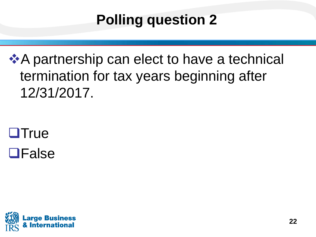## **Polling question 2**

 termination for tax years beginning after **A** partnership can elect to have a technical → 12/31/2017.

**OTrue OFalse** 

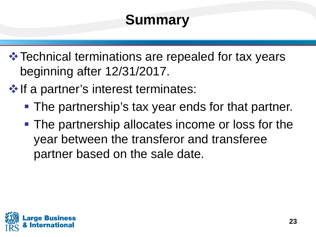## **Summary**

 **\* Technical terminations are repealed for tax years** beginning after 12/31/2017.

 $\cdot$  If a partner's interest terminates:

- **The partnership's tax year ends for that partner.**
- **The partnership allocates income or loss for the** year between the transferor and transferee partner based on the sale date.